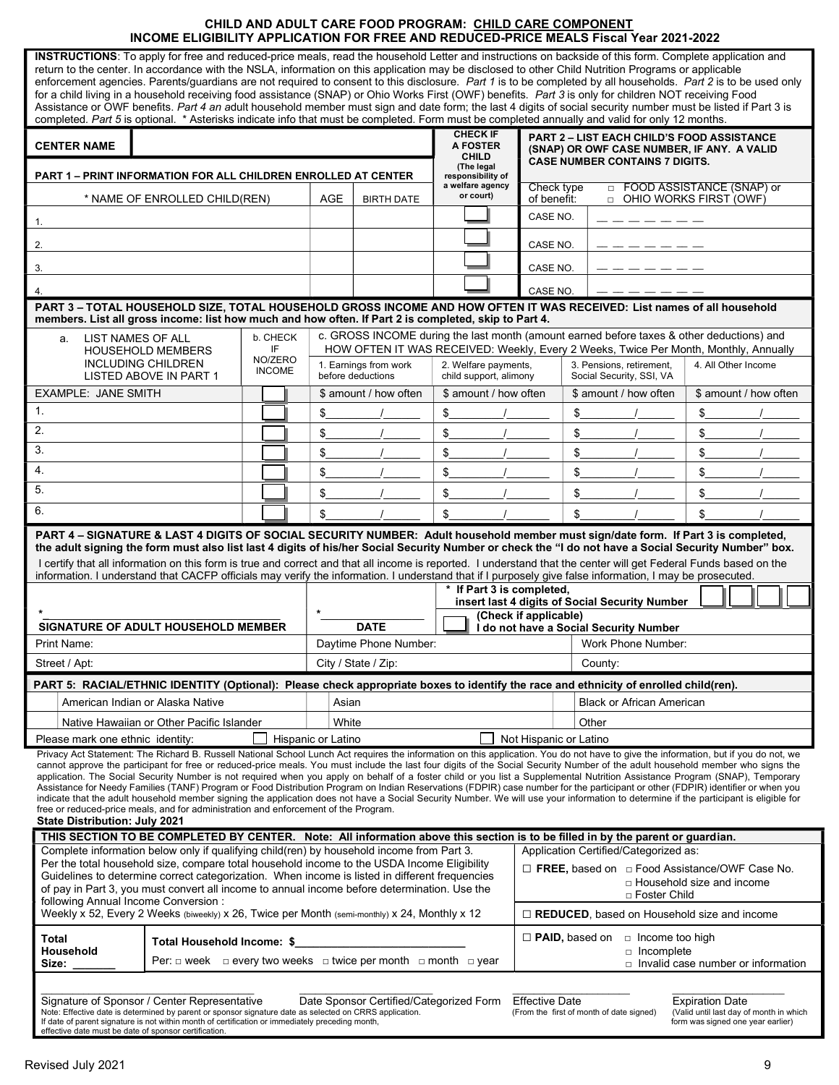# CHILD AND ADULT CARE FOOD PROGRAM: CHILD CARE COMPONENT INCOME ELIGIBILITY APPLICATION FOR FREE AND REDUCED-PRICE MEALS Fiscal Year 2021-2022

| INSTRUCTIONS: To apply for free and reduced-price meals, read the household Letter and instructions on backside of this form. Complete application and<br>return to the center. In accordance with the NSLA, information on this application may be disclosed to other Child Nutrition Programs or applicable<br>enforcement agencies. Parents/guardians are not required to consent to this disclosure. Part 1 is to be completed by all households. Part 2 is to be used only<br>for a child living in a household receiving food assistance (SNAP) or Ohio Works First (OWF) benefits. Part 3 is only for children NOT receiving Food<br>Assistance or OWF benefits. Part 4 an adult household member must sign and date form; the last 4 digits of social security number must be listed if Part 3 is<br>completed. Part 5 is optional. * Asterisks indicate info that must be completed. Form must be completed annually and valid for only 12 months.                                                                                                                                             |                                                                                 |  |                                                                                                                                                                                   |       |                                            |                               |                                                                    |                                                                                     |                                                 |                                                                                                            |                        |                                           |  |
|---------------------------------------------------------------------------------------------------------------------------------------------------------------------------------------------------------------------------------------------------------------------------------------------------------------------------------------------------------------------------------------------------------------------------------------------------------------------------------------------------------------------------------------------------------------------------------------------------------------------------------------------------------------------------------------------------------------------------------------------------------------------------------------------------------------------------------------------------------------------------------------------------------------------------------------------------------------------------------------------------------------------------------------------------------------------------------------------------------|---------------------------------------------------------------------------------|--|-----------------------------------------------------------------------------------------------------------------------------------------------------------------------------------|-------|--------------------------------------------|-------------------------------|--------------------------------------------------------------------|-------------------------------------------------------------------------------------|-------------------------------------------------|------------------------------------------------------------------------------------------------------------|------------------------|-------------------------------------------|--|
|                                                                                                                                                                                                                                                                                                                                                                                                                                                                                                                                                                                                                                                                                                                                                                                                                                                                                                                                                                                                                                                                                                         |                                                                                 |  |                                                                                                                                                                                   |       |                                            |                               | <b>CHECK IF</b>                                                    |                                                                                     |                                                 | <b>PART 2 - LIST EACH CHILD'S FOOD ASSISTANCE</b>                                                          |                        |                                           |  |
| <b>CENTER NAME</b>                                                                                                                                                                                                                                                                                                                                                                                                                                                                                                                                                                                                                                                                                                                                                                                                                                                                                                                                                                                                                                                                                      |                                                                                 |  |                                                                                                                                                                                   |       |                                            |                               | <b>A FOSTER</b><br><b>CHILD</b><br>(The legal<br>responsibility of | (SNAP) OR OWF CASE NUMBER, IF ANY. A VALID<br><b>CASE NUMBER CONTAINS 7 DIGITS.</b> |                                                 |                                                                                                            |                        |                                           |  |
| <b>PART 1 - PRINT INFORMATION FOR ALL CHILDREN ENROLLED AT CENTER</b>                                                                                                                                                                                                                                                                                                                                                                                                                                                                                                                                                                                                                                                                                                                                                                                                                                                                                                                                                                                                                                   |                                                                                 |  |                                                                                                                                                                                   |       |                                            | a welfare agency<br>or court) |                                                                    | □ FOOD ASSISTANCE (SNAP) or<br>Check type                                           |                                                 |                                                                                                            |                        |                                           |  |
| * NAME OF ENROLLED CHILD(REN)                                                                                                                                                                                                                                                                                                                                                                                                                                                                                                                                                                                                                                                                                                                                                                                                                                                                                                                                                                                                                                                                           |                                                                                 |  |                                                                                                                                                                                   | AGE   | <b>BIRTH DATE</b>                          | of benefit:<br>CASE NO.       |                                                                    |                                                                                     | □ OHIO WORKS FIRST (OWF)                        |                                                                                                            |                        |                                           |  |
| 1.                                                                                                                                                                                                                                                                                                                                                                                                                                                                                                                                                                                                                                                                                                                                                                                                                                                                                                                                                                                                                                                                                                      |                                                                                 |  |                                                                                                                                                                                   |       |                                            |                               |                                                                    |                                                                                     |                                                 |                                                                                                            |                        |                                           |  |
| 2.                                                                                                                                                                                                                                                                                                                                                                                                                                                                                                                                                                                                                                                                                                                                                                                                                                                                                                                                                                                                                                                                                                      |                                                                                 |  |                                                                                                                                                                                   |       |                                            |                               | CASE NO.                                                           |                                                                                     |                                                 |                                                                                                            |                        |                                           |  |
| 3.                                                                                                                                                                                                                                                                                                                                                                                                                                                                                                                                                                                                                                                                                                                                                                                                                                                                                                                                                                                                                                                                                                      |                                                                                 |  |                                                                                                                                                                                   |       |                                            |                               |                                                                    | CASE NO.                                                                            |                                                 |                                                                                                            |                        |                                           |  |
| 4.                                                                                                                                                                                                                                                                                                                                                                                                                                                                                                                                                                                                                                                                                                                                                                                                                                                                                                                                                                                                                                                                                                      |                                                                                 |  |                                                                                                                                                                                   |       |                                            | CASE NO.                      |                                                                    |                                                                                     |                                                 |                                                                                                            |                        |                                           |  |
| PART 3-TOTAL HOUSEHOLD SIZE, TOTAL HOUSEHOLD GROSS INCOME AND HOW OFTEN IT WAS RECEIVED: List names of all household<br>members. List all gross income: list how much and how often. If Part 2 is completed, skip to Part 4.                                                                                                                                                                                                                                                                                                                                                                                                                                                                                                                                                                                                                                                                                                                                                                                                                                                                            |                                                                                 |  |                                                                                                                                                                                   |       |                                            |                               |                                                                    |                                                                                     |                                                 |                                                                                                            |                        |                                           |  |
| b. CHECK<br>LIST NAMES OF ALL<br>a.<br>IF                                                                                                                                                                                                                                                                                                                                                                                                                                                                                                                                                                                                                                                                                                                                                                                                                                                                                                                                                                                                                                                               |                                                                                 |  | c. GROSS INCOME during the last month (amount earned before taxes & other deductions) and<br>HOW OFTEN IT WAS RECEIVED: Weekly, Every 2 Weeks, Twice Per Month, Monthly, Annually |       |                                            |                               |                                                                    |                                                                                     |                                                 |                                                                                                            |                        |                                           |  |
|                                                                                                                                                                                                                                                                                                                                                                                                                                                                                                                                                                                                                                                                                                                                                                                                                                                                                                                                                                                                                                                                                                         | <b>HOUSEHOLD MEMBERS</b><br><b>INCLUDING CHILDREN</b><br>LISTED ABOVE IN PART 1 |  | NO/ZERO<br><b>INCOME</b>                                                                                                                                                          |       | 1. Earnings from work<br>before deductions |                               | 2. Welfare payments,<br>child support, alimony                     |                                                                                     |                                                 | 3. Pensions, retirement,<br>4. All Other Income<br>Social Security, SSI, VA                                |                        |                                           |  |
| <b>EXAMPLE: JANE SMITH</b>                                                                                                                                                                                                                                                                                                                                                                                                                                                                                                                                                                                                                                                                                                                                                                                                                                                                                                                                                                                                                                                                              |                                                                                 |  |                                                                                                                                                                                   |       |                                            | \$ amount / how often         | \$ amount / how often                                              |                                                                                     |                                                 | \$ amount / how often                                                                                      |                        | \$ amount / how often                     |  |
| $\mathbf{1}$ .                                                                                                                                                                                                                                                                                                                                                                                                                                                                                                                                                                                                                                                                                                                                                                                                                                                                                                                                                                                                                                                                                          |                                                                                 |  |                                                                                                                                                                                   |       | \$                                         |                               | \$                                                                 |                                                                                     | \$                                              |                                                                                                            | \$                     |                                           |  |
| 2.                                                                                                                                                                                                                                                                                                                                                                                                                                                                                                                                                                                                                                                                                                                                                                                                                                                                                                                                                                                                                                                                                                      |                                                                                 |  |                                                                                                                                                                                   |       | \$                                         |                               | \$                                                                 |                                                                                     | \$                                              |                                                                                                            | \$                     |                                           |  |
| 3.                                                                                                                                                                                                                                                                                                                                                                                                                                                                                                                                                                                                                                                                                                                                                                                                                                                                                                                                                                                                                                                                                                      |                                                                                 |  |                                                                                                                                                                                   |       | \$                                         |                               | \$                                                                 |                                                                                     | \$                                              |                                                                                                            | \$                     |                                           |  |
| 4.                                                                                                                                                                                                                                                                                                                                                                                                                                                                                                                                                                                                                                                                                                                                                                                                                                                                                                                                                                                                                                                                                                      |                                                                                 |  |                                                                                                                                                                                   |       | \$                                         |                               | \$                                                                 |                                                                                     | \$                                              |                                                                                                            | \$                     |                                           |  |
| 5.                                                                                                                                                                                                                                                                                                                                                                                                                                                                                                                                                                                                                                                                                                                                                                                                                                                                                                                                                                                                                                                                                                      |                                                                                 |  |                                                                                                                                                                                   |       | \$                                         |                               | \$                                                                 |                                                                                     | \$                                              |                                                                                                            | \$                     |                                           |  |
| 6.                                                                                                                                                                                                                                                                                                                                                                                                                                                                                                                                                                                                                                                                                                                                                                                                                                                                                                                                                                                                                                                                                                      |                                                                                 |  |                                                                                                                                                                                   |       | \$                                         |                               | \$                                                                 |                                                                                     | \$                                              |                                                                                                            | \$                     |                                           |  |
| PART 4 - SIGNATURE & LAST 4 DIGITS OF SOCIAL SECURITY NUMBER: Adult household member must sign/date form. If Part 3 is completed,<br>the adult signing the form must also list last 4 digits of his/her Social Security Number or check the "I do not have a Social Security Number" box.<br>I certify that all information on this form is true and correct and that all income is reported. I understand that the center will get Federal Funds based on the<br>information. I understand that CACFP officials may verify the information. I understand that if I purposely give false information, I may be prosecuted.<br>* If Part 3 is completed,<br>insert last 4 digits of Social Security Number<br>(Check if applicable)                                                                                                                                                                                                                                                                                                                                                                      |                                                                                 |  |                                                                                                                                                                                   |       |                                            |                               |                                                                    |                                                                                     |                                                 |                                                                                                            |                        |                                           |  |
| <b>SIGNATURE OF ADULT HOUSEHOLD MEMBER</b>                                                                                                                                                                                                                                                                                                                                                                                                                                                                                                                                                                                                                                                                                                                                                                                                                                                                                                                                                                                                                                                              |                                                                                 |  |                                                                                                                                                                                   |       |                                            | <b>DATE</b>                   |                                                                    |                                                                                     |                                                 | I do not have a Social Security Number                                                                     |                        |                                           |  |
| Print Name:                                                                                                                                                                                                                                                                                                                                                                                                                                                                                                                                                                                                                                                                                                                                                                                                                                                                                                                                                                                                                                                                                             |                                                                                 |  |                                                                                                                                                                                   |       |                                            | Daytime Phone Number:         |                                                                    |                                                                                     |                                                 | Work Phone Number:                                                                                         |                        |                                           |  |
| Street / Apt:                                                                                                                                                                                                                                                                                                                                                                                                                                                                                                                                                                                                                                                                                                                                                                                                                                                                                                                                                                                                                                                                                           |                                                                                 |  |                                                                                                                                                                                   |       | City / State / Zip:                        |                               |                                                                    | County:                                                                             |                                                 |                                                                                                            |                        |                                           |  |
| PART 5: RACIAL/ETHNIC IDENTITY (Optional): Please check appropriate boxes to identify the race and ethnicity of enrolled child(ren).                                                                                                                                                                                                                                                                                                                                                                                                                                                                                                                                                                                                                                                                                                                                                                                                                                                                                                                                                                    |                                                                                 |  |                                                                                                                                                                                   |       |                                            |                               |                                                                    |                                                                                     |                                                 |                                                                                                            |                        |                                           |  |
|                                                                                                                                                                                                                                                                                                                                                                                                                                                                                                                                                                                                                                                                                                                                                                                                                                                                                                                                                                                                                                                                                                         | American Indian or Alaska Native                                                |  |                                                                                                                                                                                   |       | Asian                                      |                               |                                                                    |                                                                                     | <b>Black or African American</b>                |                                                                                                            |                        |                                           |  |
| Native Hawaiian or Other Pacific Islander                                                                                                                                                                                                                                                                                                                                                                                                                                                                                                                                                                                                                                                                                                                                                                                                                                                                                                                                                                                                                                                               |                                                                                 |  |                                                                                                                                                                                   | White |                                            | Other                         |                                                                    |                                                                                     |                                                 |                                                                                                            |                        |                                           |  |
| Please mark one ethnic identity:<br>Privacy Act Statement: The Richard B. Russell National School Lunch Act requires the information on this application. You do not have to give the information, but if you do not, we<br>cannot approve the participant for free or reduced-price meals. You must include the last four digits of the Social Security Number of the adult household member who signs the<br>application. The Social Security Number is not required when you apply on behalf of a foster child or you list a Supplemental Nutrition Assistance Program (SNAP), Temporary<br>Assistance for Needy Families (TANF) Program or Food Distribution Program on Indian Reservations (FDPIR) case number for the participant or other (FDPIR) identifier or when you<br>indicate that the adult household member signing the application does not have a Social Security Number. We will use your information to determine if the participant is eligible for<br>free or reduced-price meals, and for administration and enforcement of the Program.<br><b>State Distribution: July 2021</b> |                                                                                 |  |                                                                                                                                                                                   |       | Hispanic or Latino                         |                               |                                                                    | Not Hispanic or Latino                                                              |                                                 |                                                                                                            |                        |                                           |  |
| THIS SECTION TO BE COMPLETED BY CENTER. Note: All information above this section is to be filled in by the parent or guardian.                                                                                                                                                                                                                                                                                                                                                                                                                                                                                                                                                                                                                                                                                                                                                                                                                                                                                                                                                                          |                                                                                 |  |                                                                                                                                                                                   |       |                                            |                               |                                                                    |                                                                                     |                                                 |                                                                                                            |                        |                                           |  |
| Complete information below only if qualifying child(ren) by household income from Part 3.<br>Application Certified/Categorized as:<br>Per the total household size, compare total household income to the USDA Income Eligibility                                                                                                                                                                                                                                                                                                                                                                                                                                                                                                                                                                                                                                                                                                                                                                                                                                                                       |                                                                                 |  |                                                                                                                                                                                   |       |                                            |                               |                                                                    |                                                                                     |                                                 |                                                                                                            |                        |                                           |  |
| Guidelines to determine correct categorization. When income is listed in different frequencies<br>of pay in Part 3, you must convert all income to annual income before determination. Use the                                                                                                                                                                                                                                                                                                                                                                                                                                                                                                                                                                                                                                                                                                                                                                                                                                                                                                          |                                                                                 |  |                                                                                                                                                                                   |       |                                            |                               |                                                                    |                                                                                     |                                                 | $\Box$ FREE, based on $\Box$ Food Assistance/OWF Case No.<br>□ Household size and income<br>□ Foster Child |                        |                                           |  |
| following Annual Income Conversion:<br>Weekly x 52, Every 2 Weeks (biweekly) x 26, Twice per Month (semi-monthly) x 24, Monthly x 12                                                                                                                                                                                                                                                                                                                                                                                                                                                                                                                                                                                                                                                                                                                                                                                                                                                                                                                                                                    |                                                                                 |  |                                                                                                                                                                                   |       |                                            |                               | $\Box$ REDUCED, based on Household size and income                 |                                                                                     |                                                 |                                                                                                            |                        |                                           |  |
| Total                                                                                                                                                                                                                                                                                                                                                                                                                                                                                                                                                                                                                                                                                                                                                                                                                                                                                                                                                                                                                                                                                                   | Total Household Income: \$                                                      |  |                                                                                                                                                                                   |       |                                            |                               |                                                                    |                                                                                     | $\Box$ PAID, based on<br>$\Box$ Income too high |                                                                                                            |                        |                                           |  |
| Household<br>Per: $\Box$ week $\Box$ every two weeks $\Box$ twice per month $\Box$ month $\Box$ year<br>Size:                                                                                                                                                                                                                                                                                                                                                                                                                                                                                                                                                                                                                                                                                                                                                                                                                                                                                                                                                                                           |                                                                                 |  |                                                                                                                                                                                   |       |                                            |                               |                                                                    |                                                                                     |                                                 | □ Incomplete                                                                                               |                        | $\Box$ Invalid case number or information |  |
| Signature of Sponsor / Center Representative                                                                                                                                                                                                                                                                                                                                                                                                                                                                                                                                                                                                                                                                                                                                                                                                                                                                                                                                                                                                                                                            |                                                                                 |  |                                                                                                                                                                                   |       |                                            |                               | Date Sponsor Certified/Categorized Form Effective Date             |                                                                                     |                                                 |                                                                                                            | <b>Expiration Date</b> |                                           |  |
|                                                                                                                                                                                                                                                                                                                                                                                                                                                                                                                                                                                                                                                                                                                                                                                                                                                                                                                                                                                                                                                                                                         |                                                                                 |  |                                                                                                                                                                                   |       |                                            |                               |                                                                    |                                                                                     |                                                 |                                                                                                            |                        |                                           |  |

| Signature of Sponsor / Center Representative                                                            | Date Sponsor Certified/Categorized Form | <b>Effective Date</b>                    | <b>Expiration Date</b>                  |
|---------------------------------------------------------------------------------------------------------|-----------------------------------------|------------------------------------------|-----------------------------------------|
| Note: Effective date is determined by parent or sponsor signature date as selected on CRRS application. |                                         | (From the first of month of date signed) | (Valid until last dav of month in which |
| If date of parent signature is not within month of certification or immediately preceding month,        |                                         | form was signed one vear earlier)        |                                         |
| effective date must be date of sponsor certification.                                                   |                                         |                                          |                                         |